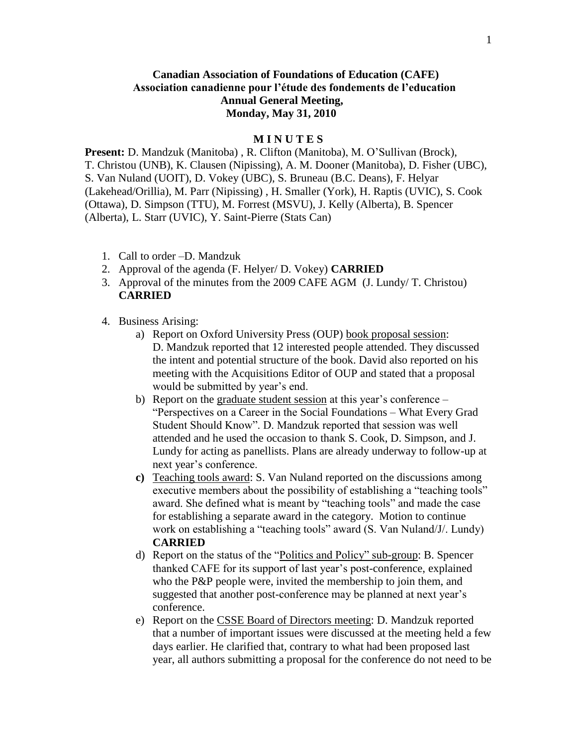## **Canadian Association of Foundations of Education (CAFE) Association canadienne pour l'étude des fondements de l'education Annual General Meeting, Monday, May 31, 2010**

## **M I N U T E S**

**Present:** D. Mandzuk (Manitoba) , R. Clifton (Manitoba), M. O'Sullivan (Brock), T. Christou (UNB), K. Clausen (Nipissing), A. M. Dooner (Manitoba), D. Fisher (UBC), S. Van Nuland (UOIT), D. Vokey (UBC), S. Bruneau (B.C. Deans), F. Helyar (Lakehead/Orillia), M. Parr (Nipissing) , H. Smaller (York), H. Raptis (UVIC), S. Cook (Ottawa), D. Simpson (TTU), M. Forrest (MSVU), J. Kelly (Alberta), B. Spencer (Alberta), L. Starr (UVIC), Y. Saint-Pierre (Stats Can)

- 1. Call to order –D. Mandzuk
- 2. Approval of the agenda (F. Helyer/ D. Vokey) **CARRIED**
- 3. Approval of the minutes from the 2009 CAFE AGM (J. Lundy/ T. Christou) **CARRIED**
- 4. Business Arising:
	- a) Report on Oxford University Press (OUP) book proposal session: D. Mandzuk reported that 12 interested people attended. They discussed the intent and potential structure of the book. David also reported on his meeting with the Acquisitions Editor of OUP and stated that a proposal would be submitted by year's end.
	- b) Report on the graduate student session at this year's conference "Perspectives on a Career in the Social Foundations – What Every Grad Student Should Know". D. Mandzuk reported that session was well attended and he used the occasion to thank S. Cook, D. Simpson, and J. Lundy for acting as panellists. Plans are already underway to follow-up at next year's conference.
	- **c)** Teaching tools award: S. Van Nuland reported on the discussions among executive members about the possibility of establishing a "teaching tools" award. She defined what is meant by "teaching tools" and made the case for establishing a separate award in the category. Motion to continue work on establishing a "teaching tools" award (S. Van Nuland/J/. Lundy) **CARRIED**
	- d) Report on the status of the "Politics and Policy" sub-group: B. Spencer thanked CAFE for its support of last year's post-conference, explained who the P&P people were, invited the membership to join them, and suggested that another post-conference may be planned at next year's conference.
	- e) Report on the CSSE Board of Directors meeting: D. Mandzuk reported that a number of important issues were discussed at the meeting held a few days earlier. He clarified that, contrary to what had been proposed last year, all authors submitting a proposal for the conference do not need to be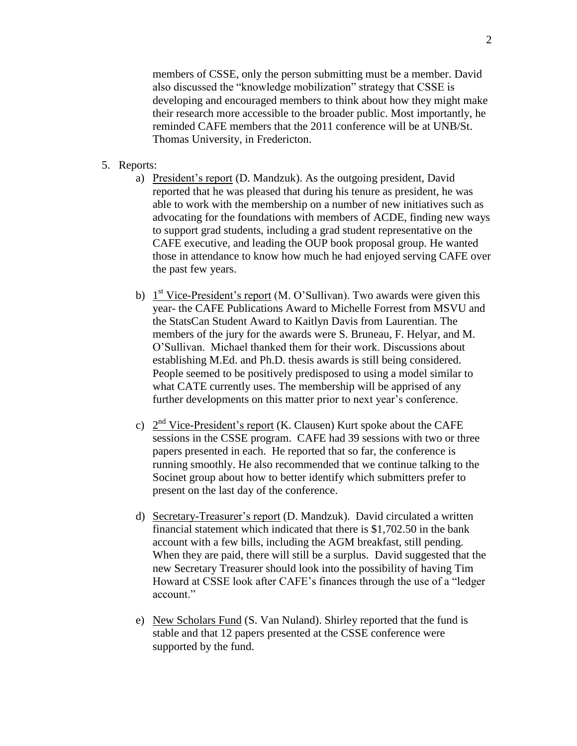members of CSSE, only the person submitting must be a member. David also discussed the "knowledge mobilization" strategy that CSSE is developing and encouraged members to think about how they might make their research more accessible to the broader public. Most importantly, he reminded CAFE members that the 2011 conference will be at UNB/St. Thomas University, in Fredericton.

- 5. Reports:
	- a) President's report (D. Mandzuk). As the outgoing president, David reported that he was pleased that during his tenure as president, he was able to work with the membership on a number of new initiatives such as advocating for the foundations with members of ACDE, finding new ways to support grad students, including a grad student representative on the CAFE executive, and leading the OUP book proposal group. He wanted those in attendance to know how much he had enjoyed serving CAFE over the past few years.
	- b)  $1<sup>st</sup> Vice-President's report (M. O'Sullivan). Two awards were given this$ year- the CAFE Publications Award to Michelle Forrest from MSVU and the StatsCan Student Award to Kaitlyn Davis from Laurentian. The members of the jury for the awards were S. Bruneau, F. Helyar, and M. O'Sullivan. Michael thanked them for their work. Discussions about establishing M.Ed. and Ph.D. thesis awards is still being considered. People seemed to be positively predisposed to using a model similar to what CATE currently uses. The membership will be apprised of any further developments on this matter prior to next year's conference.
	- c)  $2<sup>nd</sup> Vice-President's report (K. Clausen) Kurt spoke about the CAFE$ sessions in the CSSE program. CAFE had 39 sessions with two or three papers presented in each. He reported that so far, the conference is running smoothly. He also recommended that we continue talking to the Socinet group about how to better identify which submitters prefer to present on the last day of the conference.
	- d) Secretary-Treasurer's report (D. Mandzuk). David circulated a written financial statement which indicated that there is \$1,702.50 in the bank account with a few bills, including the AGM breakfast, still pending. When they are paid, there will still be a surplus. David suggested that the new Secretary Treasurer should look into the possibility of having Tim Howard at CSSE look after CAFE's finances through the use of a "ledger account."
	- e) New Scholars Fund (S. Van Nuland). Shirley reported that the fund is stable and that 12 papers presented at the CSSE conference were supported by the fund.